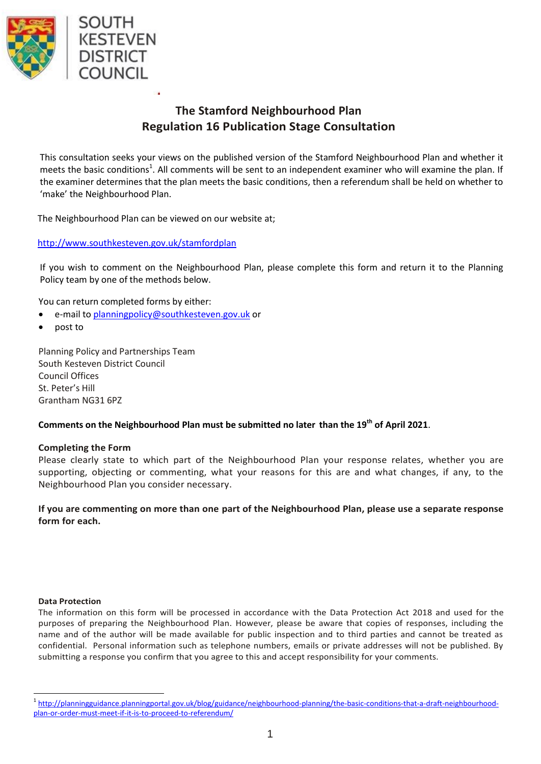

## **The Stamford Neighbourhood Plan Regulation 16 Publication Stage Consultation**

This consultation seeks your views on the published version of the Stamford Neighbourhood Plan and whether it meets the basic conditions<sup>1</sup>. All comments will be sent to an independent examiner who will examine the plan. If the examiner determines that the plan meets the basic conditions, then a referendum shall be held on whether to 'make' the Neighbourhood Plan.

The Neighbourhood Plan can be viewed on our website at;

### <http://www.southkesteven.gov.uk/stamfordplan>

If you wish to comment on the Neighbourhood Plan, please complete this form and return it to the Planning Policy team by one of the methods below.

You can return completed forms by either:

- e-mail to [planningpolicy@southkesteven.gov.uk](mailto:planningpolicy@southkesteven.gov.uk) or
- post to

Planning Policy and Partnerships Team South Kesteven District Council Council Offices St. Peter's Hill Grantham NG31 6PZ

### **Comments on the Neighbourhood Plan must be submitted no later than the 19th of April 2021**.

### **Completing the Form**

Please clearly state to which part of the Neighbourhood Plan your response relates, whether you are supporting, objecting or commenting, what your reasons for this are and what changes, if any, to the Neighbourhood Plan you consider necessary.

**If you are commenting on more than one part of the Neighbourhood Plan, please use a separate response form for each.**

#### **Data Protection**

 $\overline{a}$ 

The information on this form will be processed in accordance with the Data Protection Act 2018 and used for the purposes of preparing the Neighbourhood Plan. However, please be aware that copies of responses, including the name and of the author will be made available for public inspection and to third parties and cannot be treated as confidential. Personal information such as telephone numbers, emails or private addresses will not be published. By submitting a response you confirm that you agree to this and accept responsibility for your comments.

<sup>&</sup>lt;sup>1</sup> [http://planningguidance.planningportal.gov.uk/blog/guidance/neighbourhood-planning/the-basic-conditions-that-a-draft-neighbourhood](http://planningguidance.planningportal.gov.uk/blog/guidance/neighbourhood-planning/the-basic-conditions-that-a-draft-neighbourhood-plan-or-order-must-meet-if-it-is-to-proceed-to-referendum/)[plan-or-order-must-meet-if-it-is-to-proceed-to-referendum/](http://planningguidance.planningportal.gov.uk/blog/guidance/neighbourhood-planning/the-basic-conditions-that-a-draft-neighbourhood-plan-or-order-must-meet-if-it-is-to-proceed-to-referendum/)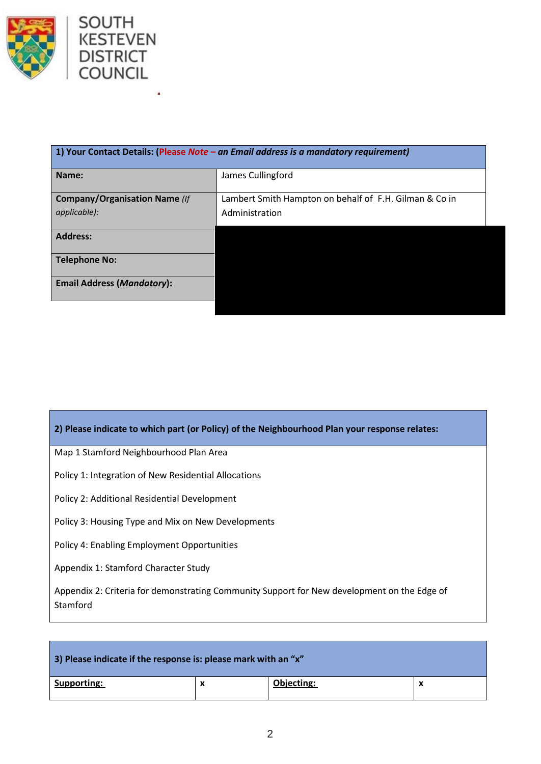



| 1) Your Contact Details: (Please Note $-$ an Email address is a mandatory requirement) |                                                        |  |  |  |
|----------------------------------------------------------------------------------------|--------------------------------------------------------|--|--|--|
| Name:                                                                                  | James Cullingford                                      |  |  |  |
| <b>Company/Organisation Name (If</b>                                                   | Lambert Smith Hampton on behalf of F.H. Gilman & Co in |  |  |  |
| applicable):                                                                           | Administration                                         |  |  |  |
| <b>Address:</b>                                                                        |                                                        |  |  |  |
| <b>Telephone No:</b>                                                                   |                                                        |  |  |  |
| <b>Email Address (Mandatory):</b>                                                      |                                                        |  |  |  |

### **2) Please indicate to which part (or Policy) of the Neighbourhood Plan your response relates:**

Map 1 Stamford Neighbourhood Plan Area

Policy 1: Integration of New Residential Allocations

Policy 2: Additional Residential Development

Policy 3: Housing Type and Mix on New Developments

Policy 4: Enabling Employment Opportunities

Appendix 1: Stamford Character Study

Appendix 2: Criteria for demonstrating Community Support for New development on the Edge of Stamford

| 3) Please indicate if the response is: please mark with an "x" |   |            |  |  |  |
|----------------------------------------------------------------|---|------------|--|--|--|
| Supporting:                                                    | x | Objecting: |  |  |  |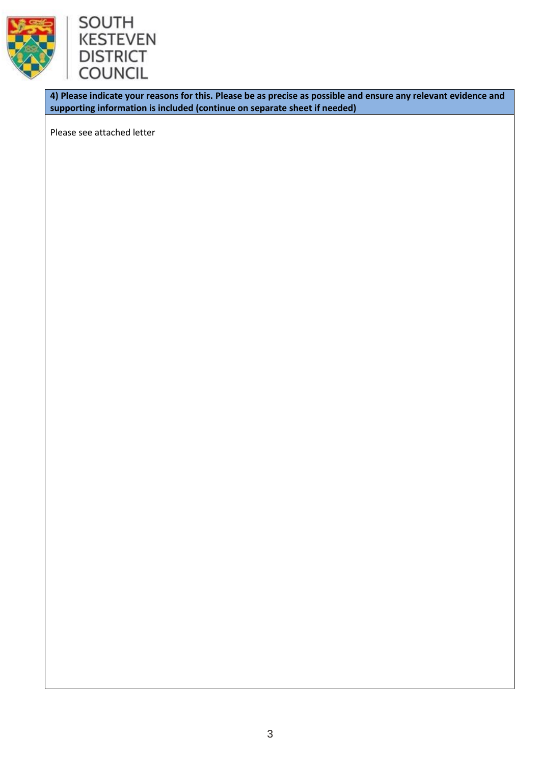



**4) Please indicate your reasons for this. Please be as precise as possible and ensure any relevant evidence and supporting information is included (continue on separate sheet if needed)** 

Please see attached letter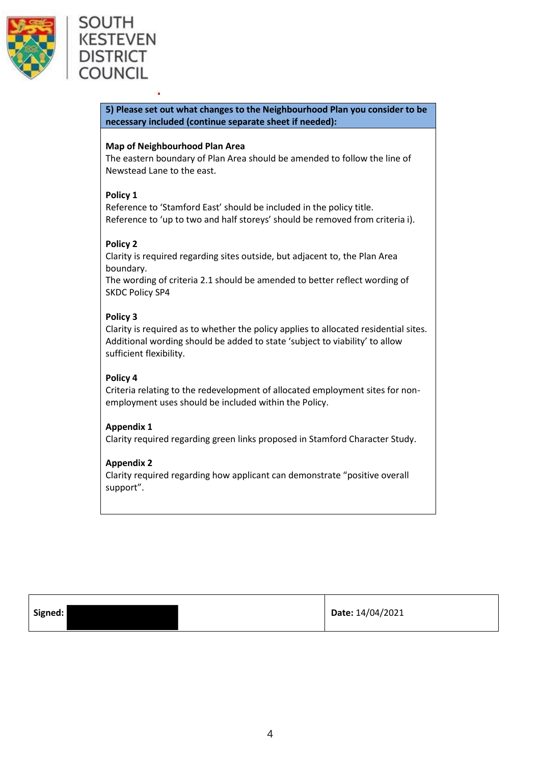

# SOUTH **KESTEVEN DISTRICT** COUNCIL

**5) Please set out what changes to the Neighbourhood Plan you consider to be necessary included (continue separate sheet if needed):**

### **Map of Neighbourhood Plan Area**

The eastern boundary of Plan Area should be amended to follow the line of Newstead Lane to the east.

### **Policy 1**

Reference to 'Stamford East' should be included in the policy title. Reference to 'up to two and half storeys' should be removed from criteria i).

### **Policy 2**

Clarity is required regarding sites outside, but adjacent to, the Plan Area boundary.

The wording of criteria 2.1 should be amended to better reflect wording of SKDC Policy SP4

### **Policy 3**

Clarity is required as to whether the policy applies to allocated residential sites. Additional wording should be added to state 'subject to viability' to allow sufficient flexibility.

### **Policy 4**

Criteria relating to the redevelopment of allocated employment sites for nonemployment uses should be included within the Policy.

### **Appendix 1**

Clarity required regarding green links proposed in Stamford Character Study.

### **Appendix 2**

Clarity required regarding how applicant can demonstrate "positive overall support".

| Signed: | Date: 14/04/2021 |
|---------|------------------|
|---------|------------------|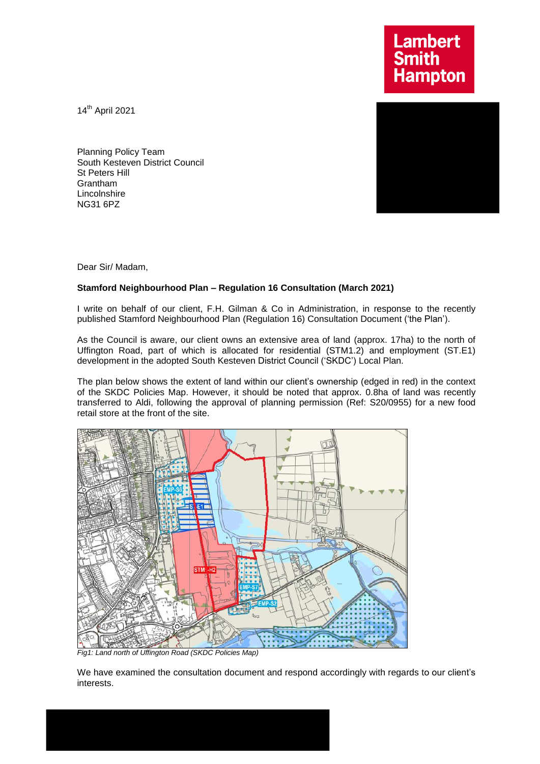**Lambert Smith<br>Hampton** 

14th April 2021

Planning Policy Team South Kesteven District Council St Peters Hill Grantham **Lincolnshire** NG31 6PZ

Dear Sir/ Madam,

### **Stamford Neighbourhood Plan – Regulation 16 Consultation (March 2021)**

I write on behalf of our client, F.H. Gilman & Co in Administration, in response to the recently published Stamford Neighbourhood Plan (Regulation 16) Consultation Document ('the Plan').

As the Council is aware, our client owns an extensive area of land (approx. 17ha) to the north of Uffington Road, part of which is allocated for residential (STM1.2) and employment (ST.E1) development in the adopted South Kesteven District Council ('SKDC') Local Plan.

The plan below shows the extent of land within our client's ownership (edged in red) in the context of the SKDC Policies Map. However, it should be noted that approx. 0.8ha of land was recently transferred to Aldi, following the approval of planning permission (Ref: S20/0955) for a new food retail store at the front of the site.



*Fig1: Land north of Uffington Road (SKDC Policies Map)* 

We have examined the consultation document and respond accordingly with regards to our client's interests.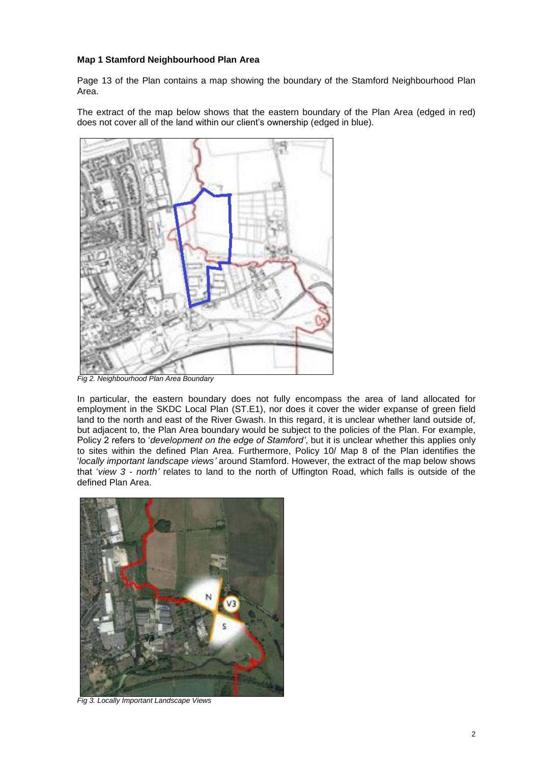#### **Map 1 Stamford Neighbourhood Plan Area**

Page 13 of the Plan contains a map showing the boundary of the Stamford Neighbourhood Plan Area.

The extract of the map below shows that the eastern boundary of the Plan Area (edged in red) does not cover all of the land within our client's ownership (edged in blue).



*Fig 2. Neighbourhood Plan Area Boundary*

In particular, the eastern boundary does not fully encompass the area of land allocated for employment in the SKDC Local Plan (ST.E1), nor does it cover the wider expanse of green field land to the north and east of the River Gwash. In this regard, it is unclear whether land outside of, but adjacent to, the Plan Area boundary would be subject to the policies of the Plan. For example, Policy 2 refers to '*development on the edge of Stamford'*, but it is unclear whether this applies only to sites within the defined Plan Area. Furthermore, Policy 10/ Map 8 of the Plan identifies the '*locally important landscape views'* around Stamford. However, the extract of the map below shows that '*view 3 - north'* relates to land to the north of Uffington Road, which falls is outside of the defined Plan Area.



*Fig 3. Locally Important Landscape Views*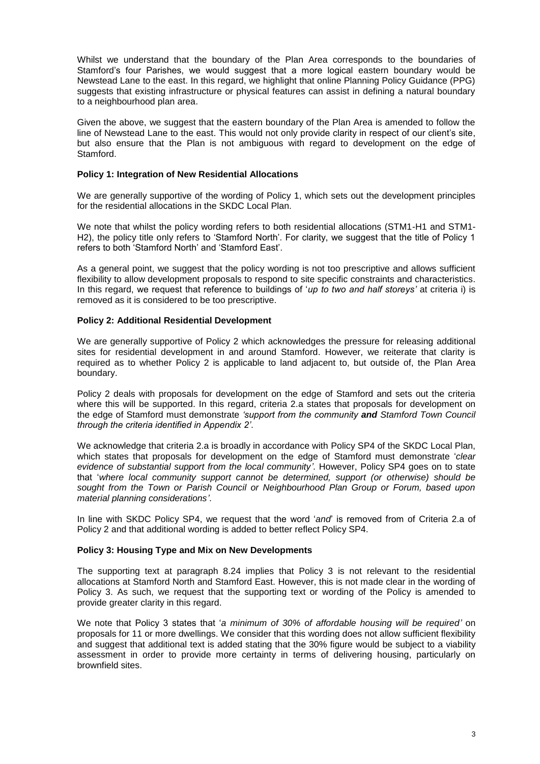Whilst we understand that the boundary of the Plan Area corresponds to the boundaries of Stamford's four Parishes, we would suggest that a more logical eastern boundary would be Newstead Lane to the east. In this regard, we highlight that online Planning Policy Guidance (PPG) suggests that existing infrastructure or physical features can assist in defining a natural boundary to a neighbourhood plan area.

Given the above, we suggest that the eastern boundary of the Plan Area is amended to follow the line of Newstead Lane to the east. This would not only provide clarity in respect of our client's site, but also ensure that the Plan is not ambiguous with regard to development on the edge of Stamford.

#### **Policy 1: Integration of New Residential Allocations**

We are generally supportive of the wording of Policy 1, which sets out the development principles for the residential allocations in the SKDC Local Plan.

We note that whilst the policy wording refers to both residential allocations (STM1-H1 and STM1- H2), the policy title only refers to 'Stamford North'. For clarity, we suggest that the title of Policy 1 refers to both 'Stamford North' and 'Stamford East'.

As a general point, we suggest that the policy wording is not too prescriptive and allows sufficient flexibility to allow development proposals to respond to site specific constraints and characteristics. In this regard, we request that reference to buildings of '*up to two and half storeys'* at criteria i) is removed as it is considered to be too prescriptive.

#### **Policy 2: Additional Residential Development**

We are generally supportive of Policy 2 which acknowledges the pressure for releasing additional sites for residential development in and around Stamford. However, we reiterate that clarity is required as to whether Policy 2 is applicable to land adjacent to, but outside of, the Plan Area boundary.

Policy 2 deals with proposals for development on the edge of Stamford and sets out the criteria where this will be supported. In this regard, criteria 2.a states that proposals for development on the edge of Stamford must demonstrate *'support from the community and Stamford Town Council through the criteria identified in Appendix 2'*.

We acknowledge that criteria 2.a is broadly in accordance with Policy SP4 of the SKDC Local Plan. which states that proposals for development on the edge of Stamford must demonstrate '*clear evidence of substantial support from the local community'*. However, Policy SP4 goes on to state that '*where local community support cannot be determined, support (or otherwise) should be sought from the Town or Parish Council or Neighbourhood Plan Group or Forum, based upon material planning considerations'*.

In line with SKDC Policy SP4, we request that the word '*and*' is removed from of Criteria 2.a of Policy 2 and that additional wording is added to better reflect Policy SP4.

#### **Policy 3: Housing Type and Mix on New Developments**

The supporting text at paragraph 8.24 implies that Policy 3 is not relevant to the residential allocations at Stamford North and Stamford East. However, this is not made clear in the wording of Policy 3. As such, we request that the supporting text or wording of the Policy is amended to provide greater clarity in this regard.

We note that Policy 3 states that '*a minimum of 30% of affordable housing will be required'* on proposals for 11 or more dwellings. We consider that this wording does not allow sufficient flexibility and suggest that additional text is added stating that the 30% figure would be subject to a viability assessment in order to provide more certainty in terms of delivering housing, particularly on brownfield sites.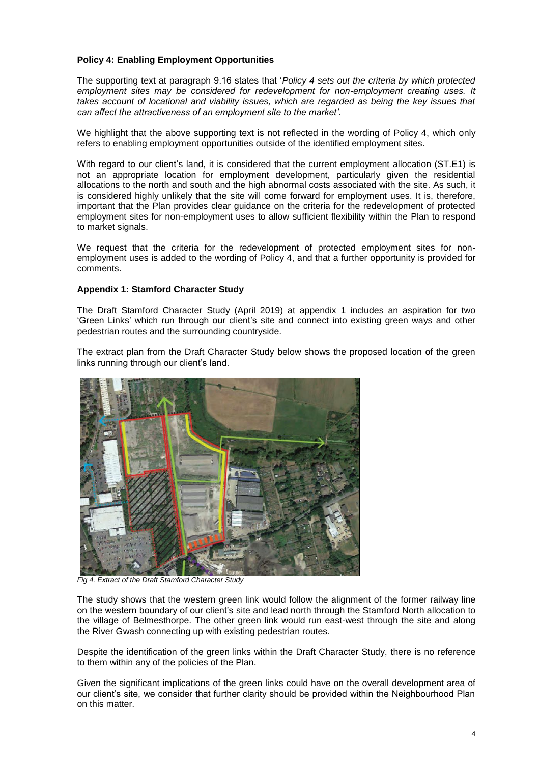### **Policy 4: Enabling Employment Opportunities**

The supporting text at paragraph 9.16 states that '*Policy 4 sets out the criteria by which protected*  employment sites may be considered for redevelopment for non-employment creating uses. It *takes account of locational and viability issues, which are regarded as being the key issues that can affect the attractiveness of an employment site to the market'*.

We highlight that the above supporting text is not reflected in the wording of Policy 4, which only refers to enabling employment opportunities outside of the identified employment sites.

With regard to our client's land, it is considered that the current employment allocation (ST.E1) is not an appropriate location for employment development, particularly given the residential allocations to the north and south and the high abnormal costs associated with the site. As such, it is considered highly unlikely that the site will come forward for employment uses. It is, therefore, important that the Plan provides clear guidance on the criteria for the redevelopment of protected employment sites for non-employment uses to allow sufficient flexibility within the Plan to respond to market signals.

We request that the criteria for the redevelopment of protected employment sites for nonemployment uses is added to the wording of Policy 4, and that a further opportunity is provided for comments.

#### **Appendix 1: Stamford Character Study**

The Draft Stamford Character Study (April 2019) at appendix 1 includes an aspiration for two 'Green Links' which run through our client's site and connect into existing green ways and other pedestrian routes and the surrounding countryside.

The extract plan from the Draft Character Study below shows the proposed location of the green links running through our client's land.



*Fig 4. Extract of the Draft Stamford Character Study*

The study shows that the western green link would follow the alignment of the former railway line on the western boundary of our client's site and lead north through the Stamford North allocation to the village of Belmesthorpe. The other green link would run east-west through the site and along the River Gwash connecting up with existing pedestrian routes.

Despite the identification of the green links within the Draft Character Study, there is no reference to them within any of the policies of the Plan.

Given the significant implications of the green links could have on the overall development area of our client's site, we consider that further clarity should be provided within the Neighbourhood Plan on this matter.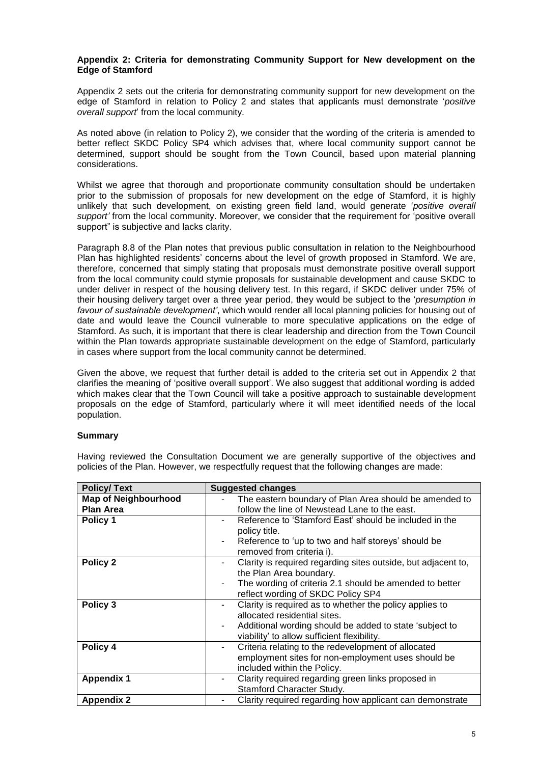#### **Appendix 2: Criteria for demonstrating Community Support for New development on the Edge of Stamford**

Appendix 2 sets out the criteria for demonstrating community support for new development on the edge of Stamford in relation to Policy 2 and states that applicants must demonstrate '*positive overall support*' from the local community.

As noted above (in relation to Policy 2), we consider that the wording of the criteria is amended to better reflect SKDC Policy SP4 which advises that, where local community support cannot be determined, support should be sought from the Town Council, based upon material planning considerations.

Whilst we agree that thorough and proportionate community consultation should be undertaken prior to the submission of proposals for new development on the edge of Stamford, it is highly unlikely that such development, on existing green field land, would generate '*positive overall support'* from the local community. Moreover, we consider that the requirement for 'positive overall support" is subjective and lacks clarity.

Paragraph 8.8 of the Plan notes that previous public consultation in relation to the Neighbourhood Plan has highlighted residents' concerns about the level of growth proposed in Stamford. We are, therefore, concerned that simply stating that proposals must demonstrate positive overall support from the local community could stymie proposals for sustainable development and cause SKDC to under deliver in respect of the housing delivery test. In this regard, if SKDC deliver under 75% of their housing delivery target over a three year period, they would be subject to the '*presumption in favour of sustainable development'*, which would render all local planning policies for housing out of date and would leave the Council vulnerable to more speculative applications on the edge of Stamford. As such, it is important that there is clear leadership and direction from the Town Council within the Plan towards appropriate sustainable development on the edge of Stamford, particularly in cases where support from the local community cannot be determined.

Given the above, we request that further detail is added to the criteria set out in Appendix 2 that clarifies the meaning of 'positive overall support'. We also suggest that additional wording is added which makes clear that the Town Council will take a positive approach to sustainable development proposals on the edge of Stamford, particularly where it will meet identified needs of the local population.

### **Summary**

| <b>Policy/Text</b>                              | <b>Suggested changes</b>                                                                                                                                                                          |
|-------------------------------------------------|---------------------------------------------------------------------------------------------------------------------------------------------------------------------------------------------------|
| <b>Map of Neighbourhood</b><br><b>Plan Area</b> | The eastern boundary of Plan Area should be amended to<br>follow the line of Newstead Lane to the east.                                                                                           |
| Policy 1                                        | Reference to 'Stamford East' should be included in the<br>policy title.<br>Reference to 'up to two and half storeys' should be<br>removed from criteria i).                                       |
| Policy 2                                        | Clarity is required regarding sites outside, but adjacent to,<br>the Plan Area boundary.<br>The wording of criteria 2.1 should be amended to better<br>reflect wording of SKDC Policy SP4         |
| Policy 3                                        | Clarity is required as to whether the policy applies to<br>allocated residential sites.<br>Additional wording should be added to state 'subject to<br>viability' to allow sufficient flexibility. |
| Policy 4                                        | Criteria relating to the redevelopment of allocated<br>٠<br>employment sites for non-employment uses should be<br>included within the Policy.                                                     |
| <b>Appendix 1</b>                               | Clarity required regarding green links proposed in<br>۰<br>Stamford Character Study.                                                                                                              |
| <b>Appendix 2</b>                               | Clarity required regarding how applicant can demonstrate                                                                                                                                          |

Having reviewed the Consultation Document we are generally supportive of the objectives and policies of the Plan. However, we respectfully request that the following changes are made: